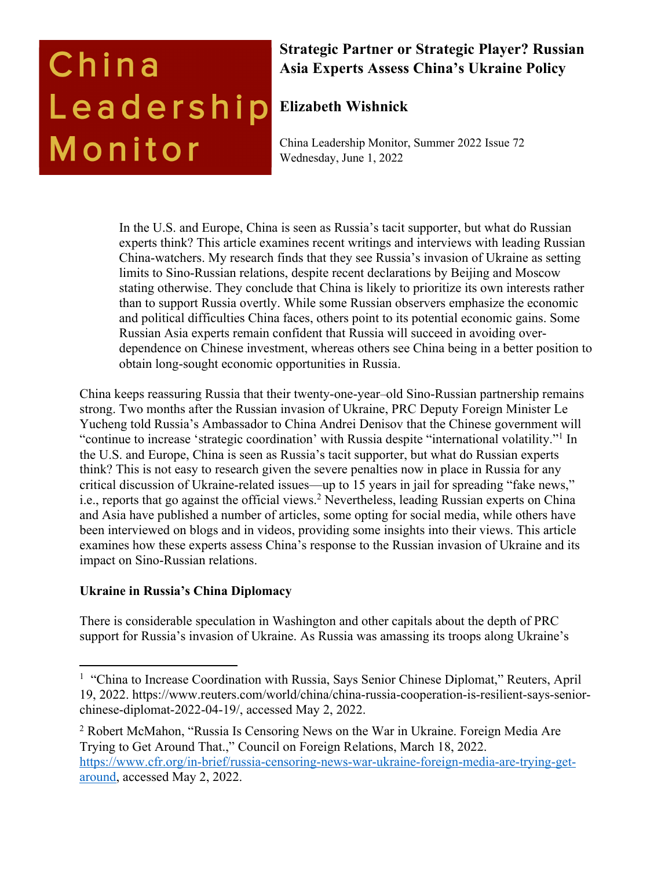# China Leadership Monitor

### **Strategic Partner or Strategic Player? Russian Asia Experts Assess China's Ukraine Policy**

## **Elizabeth Wishnick**

China Leadership Monitor, Summer 2022 Issue 72 Wednesday, June 1, 2022

In the U.S. and Europe, China is seen as Russia's tacit supporter, but what do Russian experts think? This article examines recent writings and interviews with leading Russian China-watchers. My research finds that they see Russia's invasion of Ukraine as setting limits to Sino-Russian relations, despite recent declarations by Beijing and Moscow stating otherwise. They conclude that China is likely to prioritize its own interests rather than to support Russia overtly. While some Russian observers emphasize the economic and political difficulties China faces, others point to its potential economic gains. Some Russian Asia experts remain confident that Russia will succeed in avoiding overdependence on Chinese investment, whereas others see China being in a better position to obtain long-sought economic opportunities in Russia.

China keeps reassuring Russia that their twenty-one-year–old Sino-Russian partnership remains strong. Two months after the Russian invasion of Ukraine, PRC Deputy Foreign Minister Le Yucheng told Russia's Ambassador to China Andrei Denisov that the Chinese government will "continue to increase 'strategic coordination' with Russia despite "international volatility."1 In the U.S. and Europe, China is seen as Russia's tacit supporter, but what do Russian experts think? This is not easy to research given the severe penalties now in place in Russia for any critical discussion of Ukraine-related issues—up to 15 years in jail for spreading "fake news," i.e., reports that go against the official views.<sup>2</sup> Nevertheless, leading Russian experts on China and Asia have published a number of articles, some opting for social media, while others have been interviewed on blogs and in videos, providing some insights into their views. This article examines how these experts assess China's response to the Russian invasion of Ukraine and its impact on Sino-Russian relations.

#### **Ukraine in Russia's China Diplomacy**

There is considerable speculation in Washington and other capitals about the depth of PRC support for Russia's invasion of Ukraine. As Russia was amassing its troops along Ukraine's

<sup>&</sup>lt;sup>1</sup> "China to Increase Coordination with Russia, Says Senior Chinese Diplomat," Reuters, April 19, 2022. https://www.reuters.com/world/china/china-russia-cooperation-is-resilient-says-seniorchinese-diplomat-2022-04-19/, accessed May 2, 2022.

<sup>2</sup> Robert McMahon, "Russia Is Censoring News on the War in Ukraine. Foreign Media Are Trying to Get Around That.," Council on Foreign Relations, March 18, 2022. https://www.cfr.org/in-brief/russia-censoring-news-war-ukraine-foreign-media-are-trying-getaround, accessed May 2, 2022.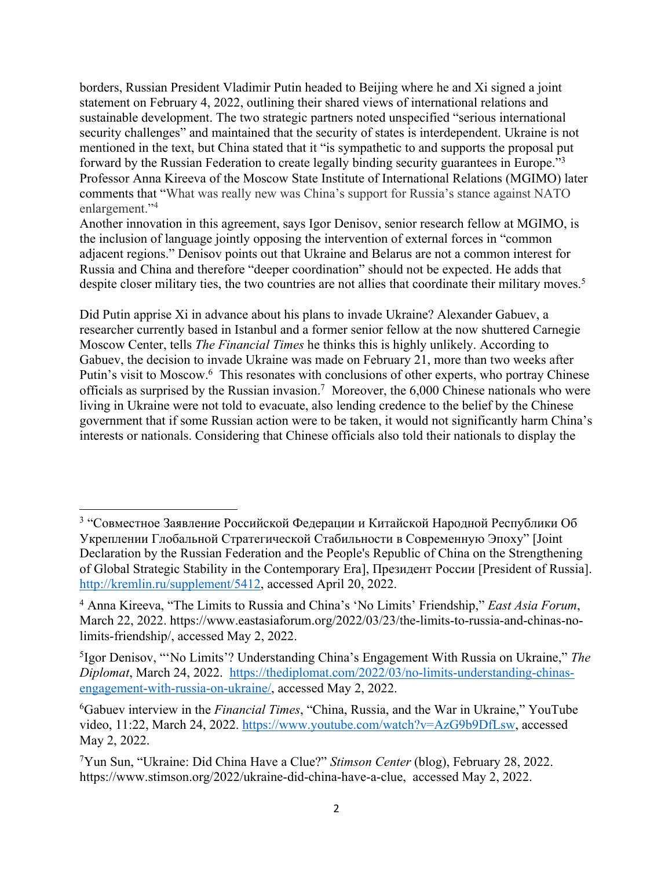borders, Russian President Vladimir Putin headed to Beijing where he and Xi signed a joint statement on February 4, 2022, outlining their shared views of international relations and sustainable development. The two strategic partners noted unspecified "serious international security challenges" and maintained that the security of states is interdependent. Ukraine is not mentioned in the text, but China stated that it "is sympathetic to and supports the proposal put forward by the Russian Federation to create legally binding security guarantees in Europe."3 Professor Anna Kireeva of the Moscow State Institute of International Relations (MGIMO) later comments that "What was really new was China's support for Russia's stance against NATO enlargement."4

Another innovation in this agreement, says Igor Denisov, senior research fellow at MGIMO, is the inclusion of language jointly opposing the intervention of external forces in "common adjacent regions." Denisov points out that Ukraine and Belarus are not a common interest for Russia and China and therefore "deeper coordination" should not be expected. He adds that despite closer military ties, the two countries are not allies that coordinate their military moves.<sup>5</sup>

Did Putin apprise Xi in advance about his plans to invade Ukraine? Alexander Gabuev, a researcher currently based in Istanbul and a former senior fellow at the now shuttered Carnegie Moscow Center, tells *The Financial Times* he thinks this is highly unlikely. According to Gabuev, the decision to invade Ukraine was made on February 21, more than two weeks after Putin's visit to Moscow.<sup>6</sup> This resonates with conclusions of other experts, who portray Chinese officials as surprised by the Russian invasion.<sup>7</sup> Moreover, the  $6,000$  Chinese nationals who were living in Ukraine were not told to evacuate, also lending credence to the belief by the Chinese government that if some Russian action were to be taken, it would not significantly harm China's interests or nationals. Considering that Chinese officials also told their nationals to display the

<sup>3</sup> "Совместное Заявление Российской Федерации и Китайской Народной Республики Об Укреплении Глобальной Стратегической Стабильности в Современную Эпоху" [Joint Declaration by the Russian Federation and the People's Republic of China on the Strengthening of Global Strategic Stability in the Contemporary Era], Президент России [President of Russia]. http://kremlin.ru/supplement/5412, accessed April 20, 2022.

<sup>4</sup> Anna Kireeva, "The Limits to Russia and China's 'No Limits' Friendship," *East Asia Forum*, March 22, 2022. https://www.eastasiaforum.org/2022/03/23/the-limits-to-russia-and-chinas-nolimits-friendship/, accessed May 2, 2022.

<sup>5</sup>Igor Denisov, "'No Limits'? Understanding China's Engagement With Russia on Ukraine," *The Diplomat*, March 24, 2022. https://thediplomat.com/2022/03/no-limits-understanding-chinasengagement-with-russia-on-ukraine/, accessed May 2, 2022.

<sup>6</sup>Gabuev interview in the *Financial Times*, "China, Russia, and the War in Ukraine," YouTube video, 11:22, March 24, 2022. https://www.youtube.com/watch?v=AzG9b9DfLsw, accessed May 2, 2022.

<sup>7</sup>Yun Sun, "Ukraine: Did China Have a Clue?" *Stimson Center* (blog), February 28, 2022. https://www.stimson.org/2022/ukraine-did-china-have-a-clue, accessed May 2, 2022.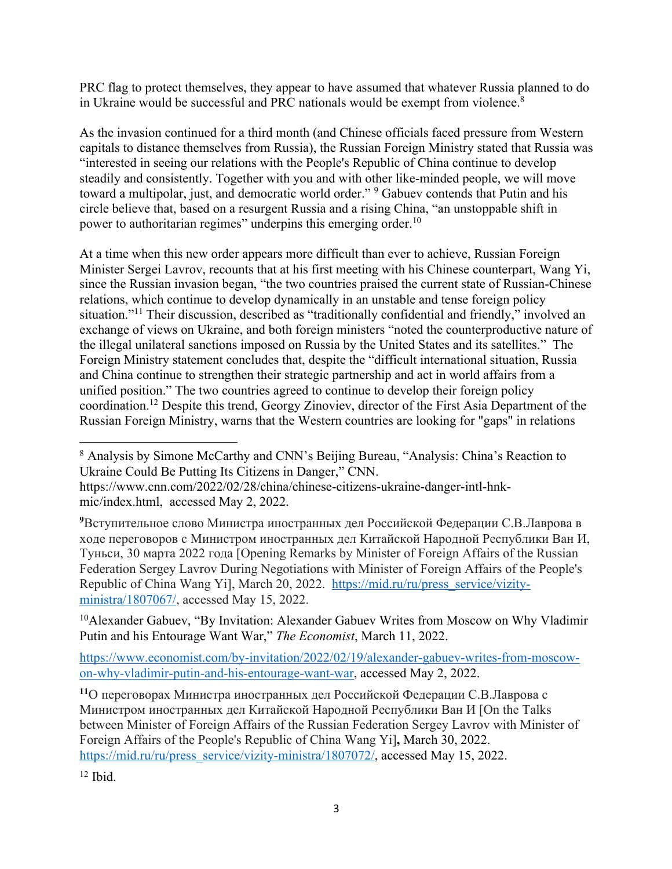PRC flag to protect themselves, they appear to have assumed that whatever Russia planned to do in Ukraine would be successful and PRC nationals would be exempt from violence.8

As the invasion continued for a third month (and Chinese officials faced pressure from Western capitals to distance themselves from Russia), the Russian Foreign Ministry stated that Russia was "interested in seeing our relations with the People's Republic of China continue to develop steadily and consistently. Together with you and with other like-minded people, we will move toward a multipolar, just, and democratic world order."<sup>9</sup> Gabuev contends that Putin and his circle believe that, based on a resurgent Russia and a rising China, "an unstoppable shift in power to authoritarian regimes" underpins this emerging order.<sup>10</sup>

At a time when this new order appears more difficult than ever to achieve, Russian Foreign Minister Sergei Lavrov, recounts that at his first meeting with his Chinese counterpart, Wang Yi, since the Russian invasion began, "the two countries praised the current state of Russian-Chinese relations, which continue to develop dynamically in an unstable and tense foreign policy situation."<sup>11</sup> Their discussion, described as "traditionally confidential and friendly," involved an exchange of views on Ukraine, and both foreign ministers "noted the counterproductive nature of the illegal unilateral sanctions imposed on Russia by the United States and its satellites." The Foreign Ministry statement concludes that, despite the "difficult international situation, Russia and China continue to strengthen their strategic partnership and act in world affairs from a unified position." The two countries agreed to continue to develop their foreign policy coordination.12 Despite this trend, Georgy Zinoviev, director of the First Asia Department of the Russian Foreign Ministry, warns that the Western countries are looking for "gaps" in relations

<sup>10</sup>Alexander Gabuev, "By Invitation: Alexander Gabuev Writes from Moscow on Why Vladimir Putin and his Entourage Want War," *The Economist*, March 11, 2022.

https://www.economist.com/by-invitation/2022/02/19/alexander-gabuev-writes-from-moscowon-why-vladimir-putin-and-his-entourage-want-war, accessed May 2, 2022.

**<sup>11</sup>**О переговорах Министра иностранных дел Российской Федерации С.В.Лаврова с Министром иностранных дел Китайской Народной Республики Ван И [On the Talks between Minister of Foreign Affairs of the Russian Federation Sergey Lavrov with Minister of Foreign Affairs of the People's Republic of China Wang Yi]**,** March 30, 2022. https://mid.ru/ru/press\_service/vizity-ministra/1807072/, accessed May 15, 2022.

 $12$  Ibid.

<sup>8</sup> Analysis by Simone McCarthy and CNN's Beijing Bureau, "Analysis: China's Reaction to Ukraine Could Be Putting Its Citizens in Danger," CNN.

https://www.cnn.com/2022/02/28/china/chinese-citizens-ukraine-danger-intl-hnkmic/index.html, accessed May 2, 2022.

**<sup>9</sup>**Вступительное слово Министра иностранных дел Российской Федерации С.В.Лаврова в ходе переговоров с Министром иностранных дел Китайской Народной Республики Ван И, Туньси, 30 марта 2022 года [Opening Remarks by Minister of Foreign Affairs of the Russian Federation Sergey Lavrov During Negotiations with Minister of Foreign Affairs of the People's Republic of China Wang Yi], March 20, 2022. https://mid.ru/ru/press\_service/vizityministra/1807067/, accessed May 15, 2022.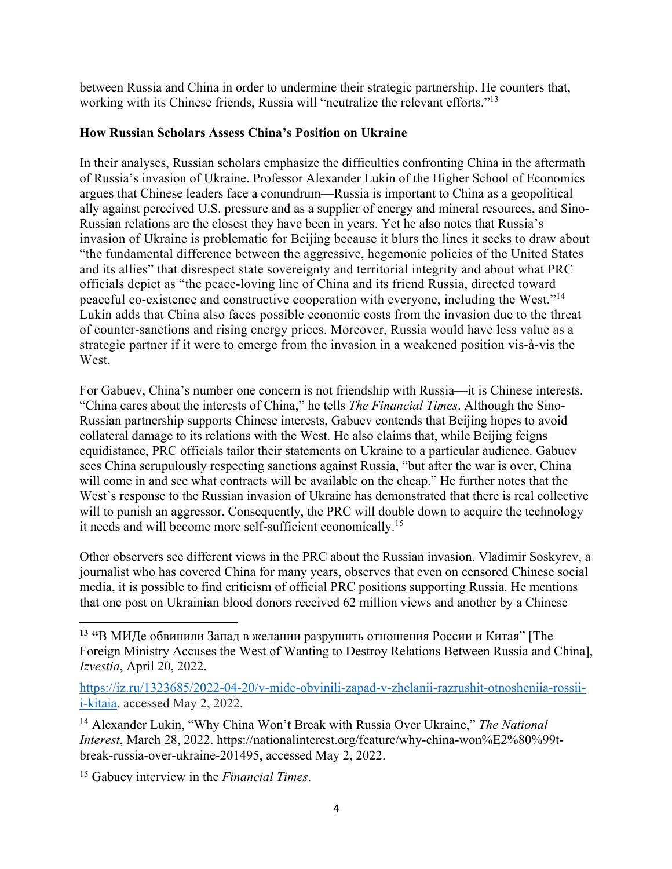between Russia and China in order to undermine their strategic partnership. He counters that, working with its Chinese friends, Russia will "neutralize the relevant efforts."13

#### **How Russian Scholars Assess China's Position on Ukraine**

In their analyses, Russian scholars emphasize the difficulties confronting China in the aftermath of Russia's invasion of Ukraine. Professor Alexander Lukin of the Higher School of Economics argues that Chinese leaders face a conundrum—Russia is important to China as a geopolitical ally against perceived U.S. pressure and as a supplier of energy and mineral resources, and Sino-Russian relations are the closest they have been in years. Yet he also notes that Russia's invasion of Ukraine is problematic for Beijing because it blurs the lines it seeks to draw about "the fundamental difference between the aggressive, hegemonic policies of the United States and its allies" that disrespect state sovereignty and territorial integrity and about what PRC officials depict as "the peace-loving line of China and its friend Russia, directed toward peaceful co-existence and constructive cooperation with everyone, including the West."14 Lukin adds that China also faces possible economic costs from the invasion due to the threat of counter-sanctions and rising energy prices. Moreover, Russia would have less value as a strategic partner if it were to emerge from the invasion in a weakened position vis-à-vis the West.

For Gabuev, China's number one concern is not friendship with Russia—it is Chinese interests. "China cares about the interests of China," he tells *The Financial Times*. Although the Sino-Russian partnership supports Chinese interests, Gabuev contends that Beijing hopes to avoid collateral damage to its relations with the West. He also claims that, while Beijing feigns equidistance, PRC officials tailor their statements on Ukraine to a particular audience. Gabuev sees China scrupulously respecting sanctions against Russia, "but after the war is over, China will come in and see what contracts will be available on the cheap." He further notes that the West's response to the Russian invasion of Ukraine has demonstrated that there is real collective will to punish an aggressor. Consequently, the PRC will double down to acquire the technology it needs and will become more self-sufficient economically.15

Other observers see different views in the PRC about the Russian invasion. Vladimir Soskyrev, a journalist who has covered China for many years, observes that even on censored Chinese social media, it is possible to find criticism of official PRC positions supporting Russia. He mentions that one post on Ukrainian blood donors received 62 million views and another by a Chinese

**<sup>13</sup> "**В МИДе обвинили Запад в желании разрушить отношения России и Китая" [The Foreign Ministry Accuses the West of Wanting to Destroy Relations Between Russia and China], *Izvestia*, April 20, 2022.

https://iz.ru/1323685/2022-04-20/v-mide-obvinili-zapad-v-zhelanii-razrushit-otnosheniia-rossiii-kitaia, accessed May 2, 2022.

<sup>14</sup> Alexander Lukin, "Why China Won't Break with Russia Over Ukraine," *The National Interest*, March 28, 2022. https://nationalinterest.org/feature/why-china-won%E2%80%99tbreak-russia-over-ukraine-201495, accessed May 2, 2022.

<sup>15</sup> Gabuev interview in the *Financial Times*.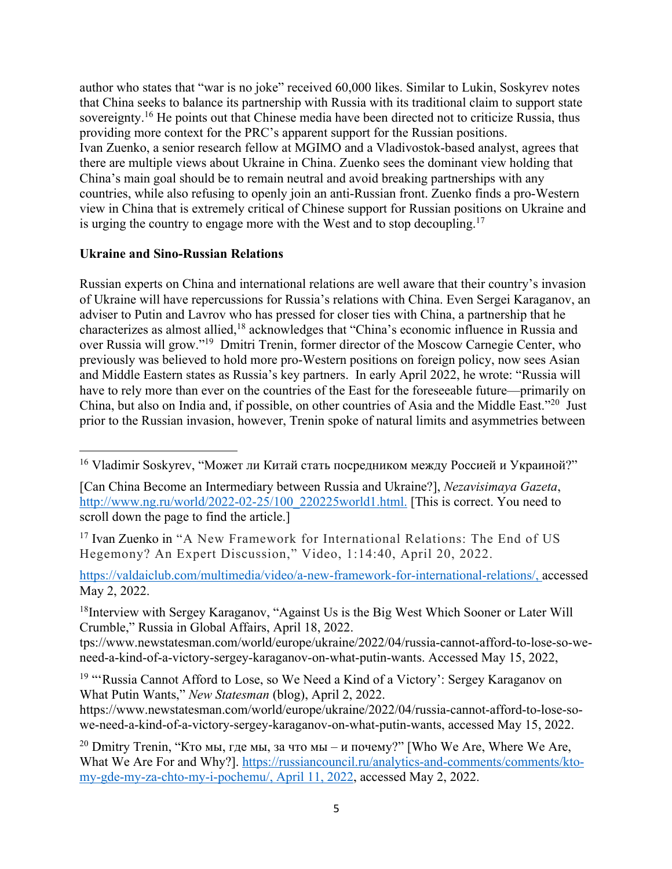author who states that "war is no joke" received 60,000 likes. Similar to Lukin, Soskyrev notes that China seeks to balance its partnership with Russia with its traditional claim to support state sovereignty.<sup>16</sup> He points out that Chinese media have been directed not to criticize Russia, thus providing more context for the PRC's apparent support for the Russian positions. Ivan Zuenko, a senior research fellow at MGIMO and a Vladivostok-based analyst, agrees that there are multiple views about Ukraine in China. Zuenko sees the dominant view holding that China's main goal should be to remain neutral and avoid breaking partnerships with any countries, while also refusing to openly join an anti-Russian front. Zuenko finds a pro-Western view in China that is extremely critical of Chinese support for Russian positions on Ukraine and is urging the country to engage more with the West and to stop decoupling.<sup>17</sup>

#### **Ukraine and Sino-Russian Relations**

Russian experts on China and international relations are well aware that their country's invasion of Ukraine will have repercussions for Russia's relations with China. Even Sergei Karaganov, an adviser to Putin and Lavrov who has pressed for closer ties with China, a partnership that he characterizes as almost allied,18 acknowledges that "China's economic influence in Russia and over Russia will grow."19 Dmitri Trenin, former director of the Moscow Carnegie Center, who previously was believed to hold more pro-Western positions on foreign policy, now sees Asian and Middle Eastern states as Russia's key partners. In early April 2022, he wrote: "Russia will have to rely more than ever on the countries of the East for the foreseeable future—primarily on China, but also on India and, if possible, on other countries of Asia and the Middle East."20 Just prior to the Russian invasion, however, Trenin spoke of natural limits and asymmetries between

<sup>18</sup>Interview with Sergey Karaganov, "Against Us is the Big West Which Sooner or Later Will Crumble," Russia in Global Affairs, April 18, 2022.

tps://www.newstatesman.com/world/europe/ukraine/2022/04/russia-cannot-afford-to-lose-so-weneed-a-kind-of-a-victory-sergey-karaganov-on-what-putin-wants. Accessed May 15, 2022,

https://www.newstatesman.com/world/europe/ukraine/2022/04/russia-cannot-afford-to-lose-sowe-need-a-kind-of-a-victory-sergey-karaganov-on-what-putin-wants, accessed May 15, 2022.

<sup>20</sup> Dmitry Trenin, "Кто мы, где мы, за что мы – и почему?" [Who We Are, Where We Are, What We Are For and Why?]. https://russiancouncil.ru/analytics-and-comments/comments/ktomy-gde-my-za-chto-my-i-pochemu/, April 11, 2022, accessed May 2, 2022.

<sup>&</sup>lt;sup>16</sup> Vladimir Soskyrev, "Может ли Китай стать посредником между Россией и Украиной?"

<sup>[</sup>Can China Become an Intermediary between Russia and Ukraine?], *Nezavisimaya Gazeta*, http://www.ng.ru/world/2022-02-25/100\_220225world1.html. [This is correct. You need to scroll down the page to find the article.]

<sup>17</sup> Ivan Zuenko in "A New Framework for International Relations: The End of US Hegemony? An Expert Discussion," Video, 1:14:40, April 20, 2022.

https://valdaiclub.com/multimedia/video/a-new-framework-for-international-relations/, accessed May 2, 2022.

<sup>&</sup>lt;sup>19</sup> "'Russia Cannot Afford to Lose, so We Need a Kind of a Victory': Sergey Karaganov on What Putin Wants," *New Statesman* (blog), April 2, 2022.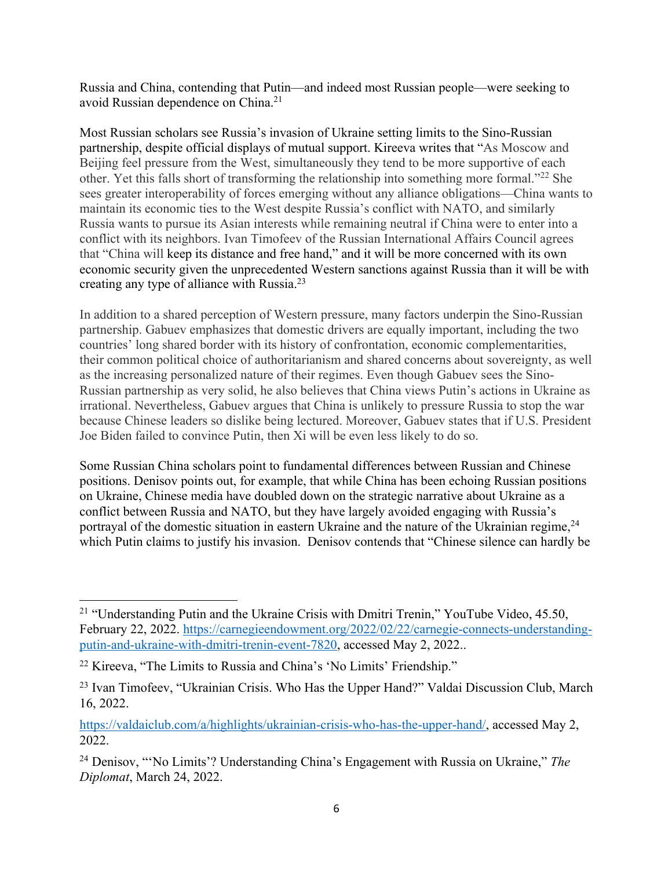Russia and China, contending that Putin—and indeed most Russian people—were seeking to avoid Russian dependence on China.21

Most Russian scholars see Russia's invasion of Ukraine setting limits to the Sino-Russian partnership, despite official displays of mutual support. Kireeva writes that "As Moscow and Beijing feel pressure from the West, simultaneously they tend to be more supportive of each other. Yet this falls short of transforming the relationship into something more formal."22 She sees greater interoperability of forces emerging without any alliance obligations—China wants to maintain its economic ties to the West despite Russia's conflict with NATO, and similarly Russia wants to pursue its Asian interests while remaining neutral if China were to enter into a conflict with its neighbors. Ivan Timofeev of the Russian International Affairs Council agrees that "China will keep its distance and free hand," and it will be more concerned with its own economic security given the unprecedented Western sanctions against Russia than it will be with creating any type of alliance with Russia.<sup>23</sup>

In addition to a shared perception of Western pressure, many factors underpin the Sino-Russian partnership. Gabuev emphasizes that domestic drivers are equally important, including the two countries' long shared border with its history of confrontation, economic complementarities, their common political choice of authoritarianism and shared concerns about sovereignty, as well as the increasing personalized nature of their regimes. Even though Gabuev sees the Sino-Russian partnership as very solid, he also believes that China views Putin's actions in Ukraine as irrational. Nevertheless, Gabuev argues that China is unlikely to pressure Russia to stop the war because Chinese leaders so dislike being lectured. Moreover, Gabuev states that if U.S. President Joe Biden failed to convince Putin, then Xi will be even less likely to do so.

Some Russian China scholars point to fundamental differences between Russian and Chinese positions. Denisov points out, for example, that while China has been echoing Russian positions on Ukraine, Chinese media have doubled down on the strategic narrative about Ukraine as a conflict between Russia and NATO, but they have largely avoided engaging with Russia's portrayal of the domestic situation in eastern Ukraine and the nature of the Ukrainian regime,<sup>24</sup> which Putin claims to justify his invasion. Denisov contends that "Chinese silence can hardly be

<sup>&</sup>lt;sup>21</sup> "Understanding Putin and the Ukraine Crisis with Dmitri Trenin," YouTube Video, 45.50, February 22, 2022. https://carnegieendowment.org/2022/02/22/carnegie-connects-understandingputin-and-ukraine-with-dmitri-trenin-event-7820, accessed May 2, 2022..

<sup>22</sup> Kireeva, "The Limits to Russia and China's 'No Limits' Friendship."

<sup>&</sup>lt;sup>23</sup> Ivan Timofeev, "Ukrainian Crisis. Who Has the Upper Hand?" Valdai Discussion Club, March 16, 2022.

https://valdaiclub.com/a/highlights/ukrainian-crisis-who-has-the-upper-hand/, accessed May 2, 2022.

<sup>24</sup> Denisov, "'No Limits'? Understanding China's Engagement with Russia on Ukraine," *The Diplomat*, March 24, 2022.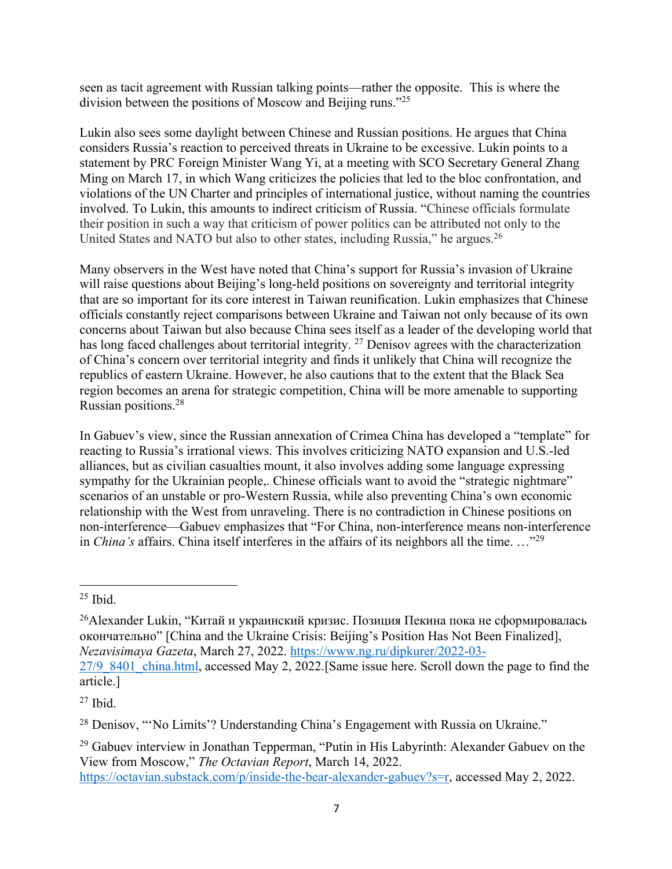seen as tacit agreement with Russian talking points—rather the opposite. This is where the division between the positions of Moscow and Beijing runs."25

Lukin also sees some daylight between Chinese and Russian positions. He argues that China considers Russia's reaction to perceived threats in Ukraine to be excessive. Lukin points to a statement by PRC Foreign Minister Wang Yi, at a meeting with SCO Secretary General Zhang Ming on March 17, in which Wang criticizes the policies that led to the bloc confrontation, and violations of the UN Charter and principles of international justice, without naming the countries involved. To Lukin, this amounts to indirect criticism of Russia. "Chinese officials formulate their position in such a way that criticism of power politics can be attributed not only to the United States and NATO but also to other states, including Russia," he argues.<sup>26</sup>

Many observers in the West have noted that China's support for Russia's invasion of Ukraine will raise questions about Beijing's long-held positions on sovereignty and territorial integrity that are so important for its core interest in Taiwan reunification. Lukin emphasizes that Chinese officials constantly reject comparisons between Ukraine and Taiwan not only because of its own concerns about Taiwan but also because China sees itself as a leader of the developing world that has long faced challenges about territorial integrity. <sup>27</sup> Denisov agrees with the characterization of China's concern over territorial integrity and finds it unlikely that China will recognize the republics of eastern Ukraine. However, he also cautions that to the extent that the Black Sea region becomes an arena for strategic competition, China will be more amenable to supporting Russian positions.28

In Gabuev's view, since the Russian annexation of Crimea China has developed a "template" for reacting to Russia's irrational views. This involves criticizing NATO expansion and U.S.-led alliances, but as civilian casualties mount, it also involves adding some language expressing sympathy for the Ukrainian people,. Chinese officials want to avoid the "strategic nightmare" scenarios of an unstable or pro-Western Russia, while also preventing China's own economic relationship with the West from unraveling. There is no contradiction in Chinese positions on non-interference—Gabuev emphasizes that "For China, non-interference means non-interference in *China's* affairs. China itself interferes in the affairs of its neighbors all the time. …"29

 $25$  Ibid.

<sup>&</sup>lt;sup>26</sup>Alexander Lukin, "Китай и украинский кризис. Позиция Пекина пока не сформировалась окончательно" [China and the Ukraine Crisis: Beijing's Position Has Not Been Finalized], *Nezavisimaya Gazeta*, March 27, 2022. https://www.ng.ru/dipkurer/2022-03-

<sup>27/9 8401</sup> china.html, accessed May 2, 2022.[Same issue here. Scroll down the page to find the article.]

 $27$  Ibid.

<sup>28</sup> Denisov, "'No Limits'? Understanding China's Engagement with Russia on Ukraine."

<sup>&</sup>lt;sup>29</sup> Gabuev interview in Jonathan Tepperman, "Putin in His Labyrinth: Alexander Gabuev on the View from Moscow," *The Octavian Report*, March 14, 2022.

https://octavian.substack.com/p/inside-the-bear-alexander-gabuev?s=r, accessed May 2, 2022.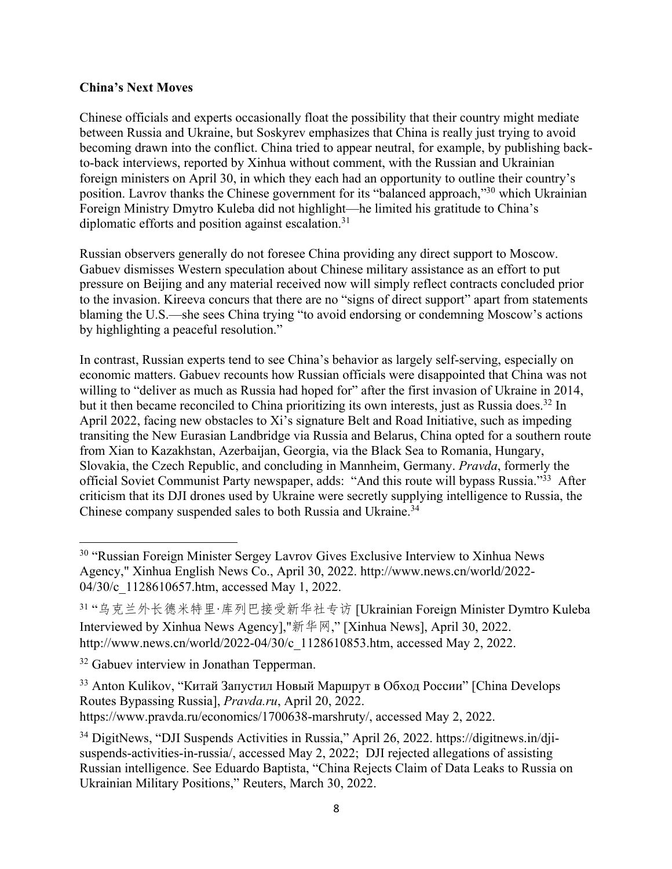#### **China's Next Moves**

Chinese officials and experts occasionally float the possibility that their country might mediate between Russia and Ukraine, but Soskyrev emphasizes that China is really just trying to avoid becoming drawn into the conflict. China tried to appear neutral, for example, by publishing backto-back interviews, reported by Xinhua without comment, with the Russian and Ukrainian foreign ministers on April 30, in which they each had an opportunity to outline their country's position. Lavrov thanks the Chinese government for its "balanced approach,"30 which Ukrainian Foreign Ministry Dmytro Kuleba did not highlight—he limited his gratitude to China's diplomatic efforts and position against escalation.31

Russian observers generally do not foresee China providing any direct support to Moscow. Gabuev dismisses Western speculation about Chinese military assistance as an effort to put pressure on Beijing and any material received now will simply reflect contracts concluded prior to the invasion. Kireeva concurs that there are no "signs of direct support" apart from statements blaming the U.S.—she sees China trying "to avoid endorsing or condemning Moscow's actions by highlighting a peaceful resolution."

In contrast, Russian experts tend to see China's behavior as largely self-serving, especially on economic matters. Gabuev recounts how Russian officials were disappointed that China was not willing to "deliver as much as Russia had hoped for" after the first invasion of Ukraine in 2014, but it then became reconciled to China prioritizing its own interests, just as Russia does.<sup>32</sup> In April 2022, facing new obstacles to Xi's signature Belt and Road Initiative, such as impeding transiting the New Eurasian Landbridge via Russia and Belarus, China opted for a southern route from Xian to Kazakhstan, Azerbaijan, Georgia, via the Black Sea to Romania, Hungary, Slovakia, the Czech Republic, and concluding in Mannheim, Germany. *Pravda*, formerly the official Soviet Communist Party newspaper, adds: "And this route will bypass Russia."33 After criticism that its DJI drones used by Ukraine were secretly supplying intelligence to Russia, the Chinese company suspended sales to both Russia and Ukraine.<sup>34</sup>

<sup>&</sup>lt;sup>30</sup> "Russian Foreign Minister Sergey Lavrov Gives Exclusive Interview to Xinhua News Agency," Xinhua English News Co., April 30, 2022. http://www.news.cn/world/2022- 04/30/c 1128610657.htm, accessed May 1, 2022.

<sup>31 &</sup>quot;乌克兰外长德米特里·库列巴接受新华社专访 [Ukrainian Foreign Minister Dymtro Kuleba Interviewed by Xinhua News Agency],"新华网," [Xinhua News], April 30, 2022. http://www.news.cn/world/2022-04/30/c\_1128610853.htm, accessed May 2, 2022.

<sup>&</sup>lt;sup>32</sup> Gabuev interview in Jonathan Tepperman.

<sup>&</sup>lt;sup>33</sup> Anton Kulikov, "Китай Запустил Новый Маршрут в Обход России" [China Develops Routes Bypassing Russia], *Pravda.ru*, April 20, 2022. https://www.pravda.ru/economics/1700638-marshruty/, accessed May 2, 2022.

<sup>34</sup> DigitNews, "DJI Suspends Activities in Russia," April 26, 2022. https://digitnews.in/djisuspends-activities-in-russia/, accessed May 2, 2022; DJI rejected allegations of assisting Russian intelligence. See Eduardo Baptista, "China Rejects Claim of Data Leaks to Russia on Ukrainian Military Positions," Reuters, March 30, 2022.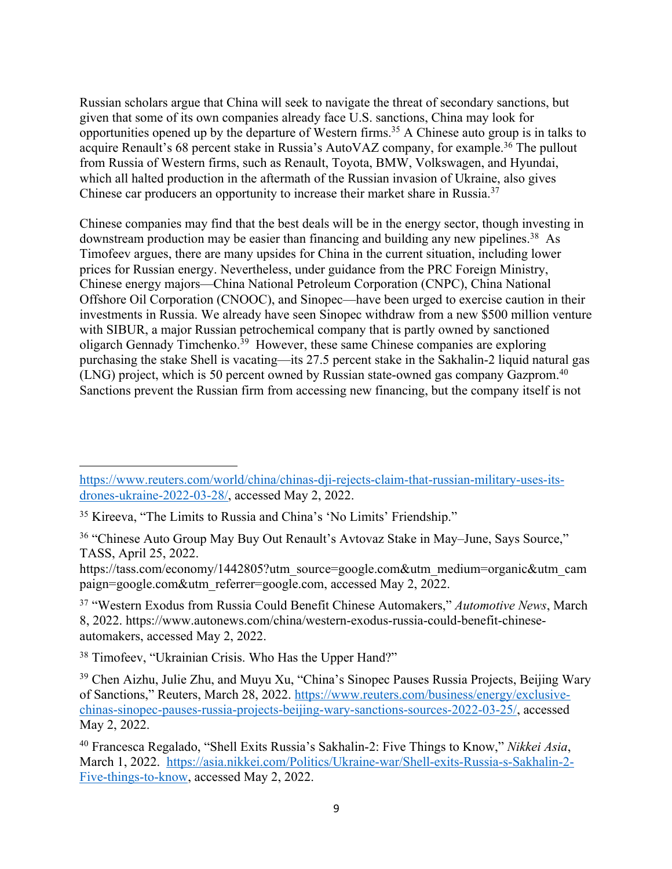Russian scholars argue that China will seek to navigate the threat of secondary sanctions, but given that some of its own companies already face U.S. sanctions, China may look for opportunities opened up by the departure of Western firms.35 A Chinese auto group is in talks to acquire Renault's 68 percent stake in Russia's AutoVAZ company, for example.<sup>36</sup> The pullout from Russia of Western firms, such as Renault, Toyota, BMW, Volkswagen, and Hyundai, which all halted production in the aftermath of the Russian invasion of Ukraine, also gives Chinese car producers an opportunity to increase their market share in Russia.<sup>37</sup>

Chinese companies may find that the best deals will be in the energy sector, though investing in downstream production may be easier than financing and building any new pipelines.<sup>38</sup> As Timofeev argues, there are many upsides for China in the current situation, including lower prices for Russian energy. Nevertheless, under guidance from the PRC Foreign Ministry, Chinese energy majors—China National Petroleum Corporation (CNPC), China National Offshore Oil Corporation (CNOOC), and Sinopec—have been urged to exercise caution in their investments in Russia. We already have seen Sinopec withdraw from a new \$500 million venture with SIBUR, a major Russian petrochemical company that is partly owned by sanctioned oligarch Gennady Timchenko.<sup>39</sup> However, these same Chinese companies are exploring purchasing the stake Shell is vacating—its 27.5 percent stake in the Sakhalin-2 liquid natural gas (LNG) project, which is 50 percent owned by Russian state-owned gas company Gazprom.40 Sanctions prevent the Russian firm from accessing new financing, but the company itself is not

https://tass.com/economy/1442805?utm\_source=google.com&utm\_medium=organic&utm\_cam paign=google.com&utm\_referrer=google.com, accessed May 2, 2022.

<sup>38</sup> Timofeev, "Ukrainian Crisis. Who Has the Upper Hand?"

https://www.reuters.com/world/china/chinas-dji-rejects-claim-that-russian-military-uses-itsdrones-ukraine-2022-03-28/, accessed May 2, 2022.

<sup>35</sup> Kireeva, "The Limits to Russia and China's 'No Limits' Friendship."

<sup>&</sup>lt;sup>36</sup> "Chinese Auto Group May Buy Out Renault's Avtovaz Stake in May–June, Says Source," TASS, April 25, 2022.

<sup>37</sup> "Western Exodus from Russia Could Benefit Chinese Automakers," *Automotive News*, March 8, 2022. https://www.autonews.com/china/western-exodus-russia-could-benefit-chineseautomakers, accessed May 2, 2022.

<sup>&</sup>lt;sup>39</sup> Chen Aizhu, Julie Zhu, and Muyu Xu, "China's Sinopec Pauses Russia Projects, Beijing Wary of Sanctions," Reuters, March 28, 2022. https://www.reuters.com/business/energy/exclusivechinas-sinopec-pauses-russia-projects-beijing-wary-sanctions-sources-2022-03-25/, accessed May 2, 2022.

<sup>40</sup> Francesca Regalado, "Shell Exits Russia's Sakhalin-2: Five Things to Know," *Nikkei Asia*, March 1, 2022. https://asia.nikkei.com/Politics/Ukraine-war/Shell-exits-Russia-s-Sakhalin-2- Five-things-to-know, accessed May 2, 2022.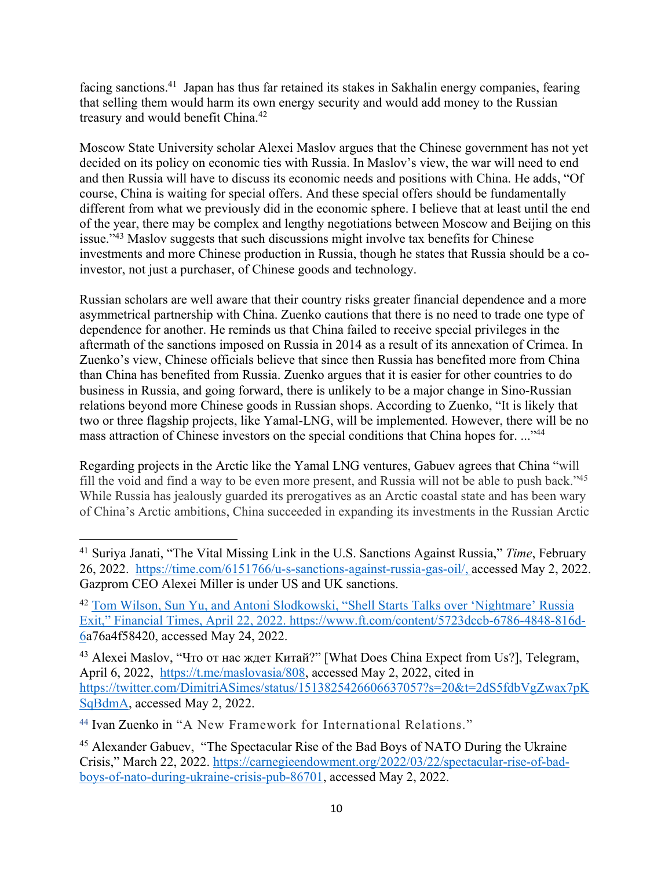facing sanctions.<sup>41</sup> Japan has thus far retained its stakes in Sakhalin energy companies, fearing that selling them would harm its own energy security and would add money to the Russian treasury and would benefit China.<sup>42</sup>

Moscow State University scholar Alexei Maslov argues that the Chinese government has not yet decided on its policy on economic ties with Russia. In Maslov's view, the war will need to end and then Russia will have to discuss its economic needs and positions with China. He adds, "Of course, China is waiting for special offers. And these special offers should be fundamentally different from what we previously did in the economic sphere. I believe that at least until the end of the year, there may be complex and lengthy negotiations between Moscow and Beijing on this issue."43 Maslov suggests that such discussions might involve tax benefits for Chinese investments and more Chinese production in Russia, though he states that Russia should be a coinvestor, not just a purchaser, of Chinese goods and technology.

Russian scholars are well aware that their country risks greater financial dependence and a more asymmetrical partnership with China. Zuenko cautions that there is no need to trade one type of dependence for another. He reminds us that China failed to receive special privileges in the aftermath of the sanctions imposed on Russia in 2014 as a result of its annexation of Crimea. In Zuenko's view, Chinese officials believe that since then Russia has benefited more from China than China has benefited from Russia. Zuenko argues that it is easier for other countries to do business in Russia, and going forward, there is unlikely to be a major change in Sino-Russian relations beyond more Chinese goods in Russian shops. According to Zuenko, "It is likely that two or three flagship projects, like Yamal-LNG, will be implemented. However, there will be no mass attraction of Chinese investors on the special conditions that China hopes for. ..."<sup>44</sup>

Regarding projects in the Arctic like the Yamal LNG ventures, Gabuev agrees that China "will fill the void and find a way to be even more present, and Russia will not be able to push back."45 While Russia has jealously guarded its prerogatives as an Arctic coastal state and has been wary of China's Arctic ambitions, China succeeded in expanding its investments in the Russian Arctic

<sup>41</sup> Suriya Janati, "The Vital Missing Link in the U.S. Sanctions Against Russia," *Time*, February 26, 2022. https://time.com/6151766/u-s-sanctions-against-russia-gas-oil/, accessed May 2, 2022. Gazprom CEO Alexei Miller is under US and UK sanctions.

<sup>42</sup> Tom Wilson, Sun Yu, and Antoni Slodkowski, "Shell Starts Talks over 'Nightmare' Russia Exit," Financial Times, April 22, 2022. https://www.ft.com/content/5723dccb-6786-4848-816d-6a76a4f58420, accessed May 24, 2022.

<sup>&</sup>lt;sup>43</sup> Alexei Maslov, "Что от нас ждет Китай?" [What Does China Expect from Us?], Telegram, April 6, 2022, https://t.me/maslovasia/808, accessed May 2, 2022, cited in https://twitter.com/DimitriASimes/status/1513825426606637057?s=20&t=2dS5fdbVgZwax7pK SqBdmA, accessed May 2, 2022.

<sup>44</sup> Ivan Zuenko in "A New Framework for International Relations."

<sup>&</sup>lt;sup>45</sup> Alexander Gabuev, "The Spectacular Rise of the Bad Boys of NATO During the Ukraine Crisis," March 22, 2022. https://carnegieendowment.org/2022/03/22/spectacular-rise-of-badboys-of-nato-during-ukraine-crisis-pub-86701, accessed May 2, 2022.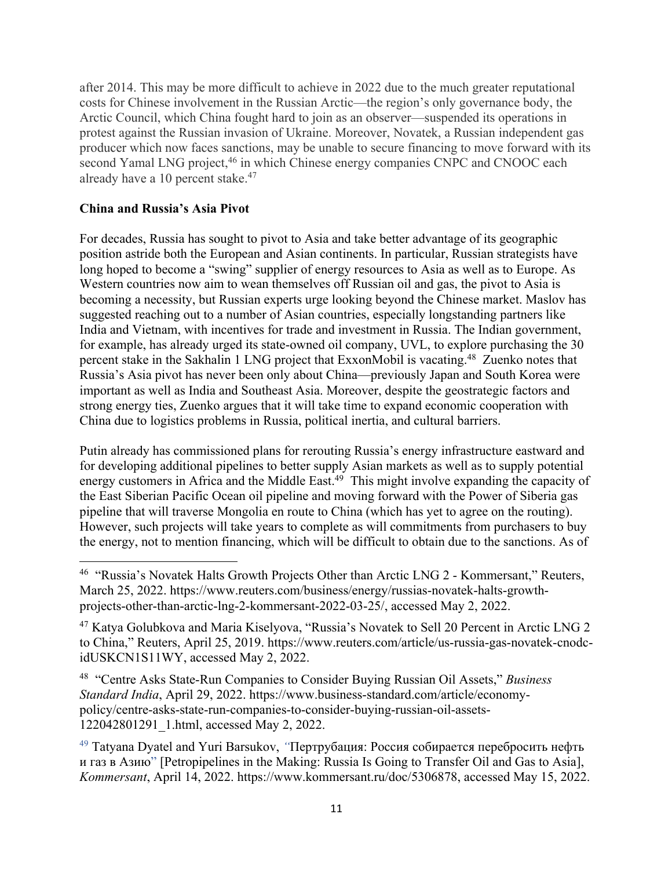after 2014. This may be more difficult to achieve in 2022 due to the much greater reputational costs for Chinese involvement in the Russian Arctic—the region's only governance body, the Arctic Council, which China fought hard to join as an observer—suspended its operations in protest against the Russian invasion of Ukraine. Moreover, Novatek, a Russian independent gas producer which now faces sanctions, may be unable to secure financing to move forward with its second Yamal LNG project,<sup>46</sup> in which Chinese energy companies CNPC and CNOOC each already have a 10 percent stake.<sup>47</sup>

#### **China and Russia's Asia Pivot**

For decades, Russia has sought to pivot to Asia and take better advantage of its geographic position astride both the European and Asian continents. In particular, Russian strategists have long hoped to become a "swing" supplier of energy resources to Asia as well as to Europe. As Western countries now aim to wean themselves off Russian oil and gas, the pivot to Asia is becoming a necessity, but Russian experts urge looking beyond the Chinese market. Maslov has suggested reaching out to a number of Asian countries, especially longstanding partners like India and Vietnam, with incentives for trade and investment in Russia. The Indian government, for example, has already urged its state-owned oil company, UVL, to explore purchasing the 30 percent stake in the Sakhalin 1 LNG project that ExxonMobil is vacating.48 Zuenko notes that Russia's Asia pivot has never been only about China—previously Japan and South Korea were important as well as India and Southeast Asia. Moreover, despite the geostrategic factors and strong energy ties, Zuenko argues that it will take time to expand economic cooperation with China due to logistics problems in Russia, political inertia, and cultural barriers.

Putin already has commissioned plans for rerouting Russia's energy infrastructure eastward and for developing additional pipelines to better supply Asian markets as well as to supply potential energy customers in Africa and the Middle East.<sup>49</sup> This might involve expanding the capacity of the East Siberian Pacific Ocean oil pipeline and moving forward with the Power of Siberia gas pipeline that will traverse Mongolia en route to China (which has yet to agree on the routing). However, such projects will take years to complete as will commitments from purchasers to buy the energy, not to mention financing, which will be difficult to obtain due to the sanctions. As of

<sup>48</sup> "Centre Asks State-Run Companies to Consider Buying Russian Oil Assets," *Business Standard India*, April 29, 2022. https://www.business-standard.com/article/economypolicy/centre-asks-state-run-companies-to-consider-buying-russian-oil-assets-122042801291\_1.html, accessed May 2, 2022.

<sup>49</sup> Tatyana Dyatel and Yuri Barsukov, *"*Пертрубация: Россия собирается перебросить нефть и газ в Азию" [Petropipelines in the Making: Russia Is Going to Transfer Oil and Gas to Asia], *Kommersant*, April 14, 2022. https://www.kommersant.ru/doc/5306878, accessed May 15, 2022.

<sup>46</sup> "Russia's Novatek Halts Growth Projects Other than Arctic LNG 2 - Kommersant," Reuters, March 25, 2022. https://www.reuters.com/business/energy/russias-novatek-halts-growthprojects-other-than-arctic-lng-2-kommersant-2022-03-25/, accessed May 2, 2022.

<sup>47</sup> Katya Golubkova and Maria Kiselyova, "Russia's Novatek to Sell 20 Percent in Arctic LNG 2 to China," Reuters, April 25, 2019. https://www.reuters.com/article/us-russia-gas-novatek-cnodcidUSKCN1S11WY, accessed May 2, 2022.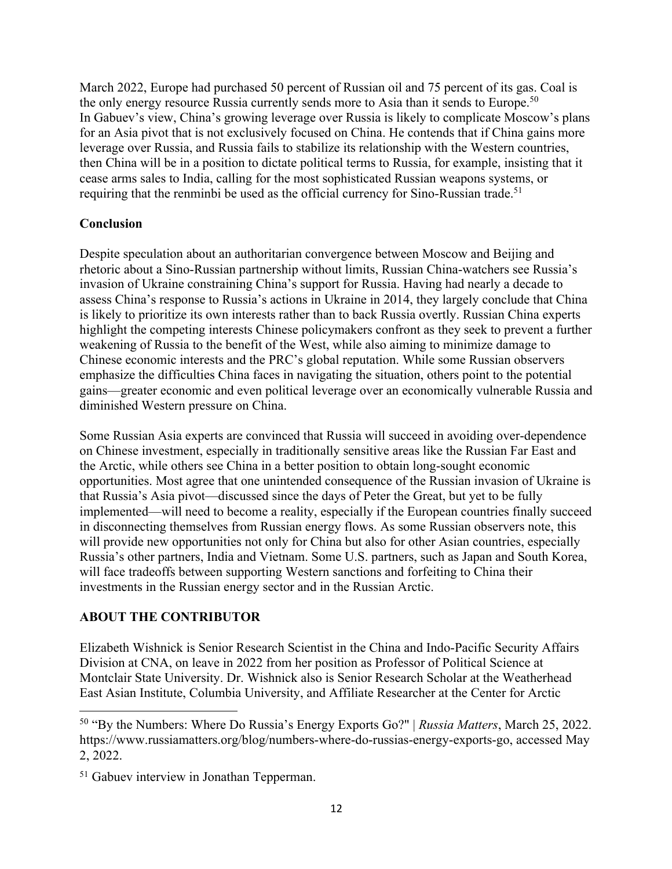March 2022, Europe had purchased 50 percent of Russian oil and 75 percent of its gas. Coal is the only energy resource Russia currently sends more to Asia than it sends to Europe.<sup>50</sup> In Gabuev's view, China's growing leverage over Russia is likely to complicate Moscow's plans for an Asia pivot that is not exclusively focused on China. He contends that if China gains more leverage over Russia, and Russia fails to stabilize its relationship with the Western countries, then China will be in a position to dictate political terms to Russia, for example, insisting that it cease arms sales to India, calling for the most sophisticated Russian weapons systems, or requiring that the renminbi be used as the official currency for Sino-Russian trade.<sup>51</sup>

#### **Conclusion**

Despite speculation about an authoritarian convergence between Moscow and Beijing and rhetoric about a Sino-Russian partnership without limits, Russian China-watchers see Russia's invasion of Ukraine constraining China's support for Russia. Having had nearly a decade to assess China's response to Russia's actions in Ukraine in 2014, they largely conclude that China is likely to prioritize its own interests rather than to back Russia overtly. Russian China experts highlight the competing interests Chinese policymakers confront as they seek to prevent a further weakening of Russia to the benefit of the West, while also aiming to minimize damage to Chinese economic interests and the PRC's global reputation. While some Russian observers emphasize the difficulties China faces in navigating the situation, others point to the potential gains—greater economic and even political leverage over an economically vulnerable Russia and diminished Western pressure on China.

Some Russian Asia experts are convinced that Russia will succeed in avoiding over-dependence on Chinese investment, especially in traditionally sensitive areas like the Russian Far East and the Arctic, while others see China in a better position to obtain long-sought economic opportunities. Most agree that one unintended consequence of the Russian invasion of Ukraine is that Russia's Asia pivot—discussed since the days of Peter the Great, but yet to be fully implemented—will need to become a reality, especially if the European countries finally succeed in disconnecting themselves from Russian energy flows. As some Russian observers note, this will provide new opportunities not only for China but also for other Asian countries, especially Russia's other partners, India and Vietnam. Some U.S. partners, such as Japan and South Korea, will face tradeoffs between supporting Western sanctions and forfeiting to China their investments in the Russian energy sector and in the Russian Arctic.

#### **ABOUT THE CONTRIBUTOR**

Elizabeth Wishnick is Senior Research Scientist in the China and Indo-Pacific Security Affairs Division at CNA, on leave in 2022 from her position as Professor of Political Science at Montclair State University. Dr. Wishnick also is Senior Research Scholar at the Weatherhead East Asian Institute, Columbia University, and Affiliate Researcher at the Center for Arctic

<sup>50</sup> "By the Numbers: Where Do Russia's Energy Exports Go?" | *Russia Matters*, March 25, 2022. https://www.russiamatters.org/blog/numbers-where-do-russias-energy-exports-go, accessed May 2, 2022.

<sup>&</sup>lt;sup>51</sup> Gabuev interview in Jonathan Tepperman.